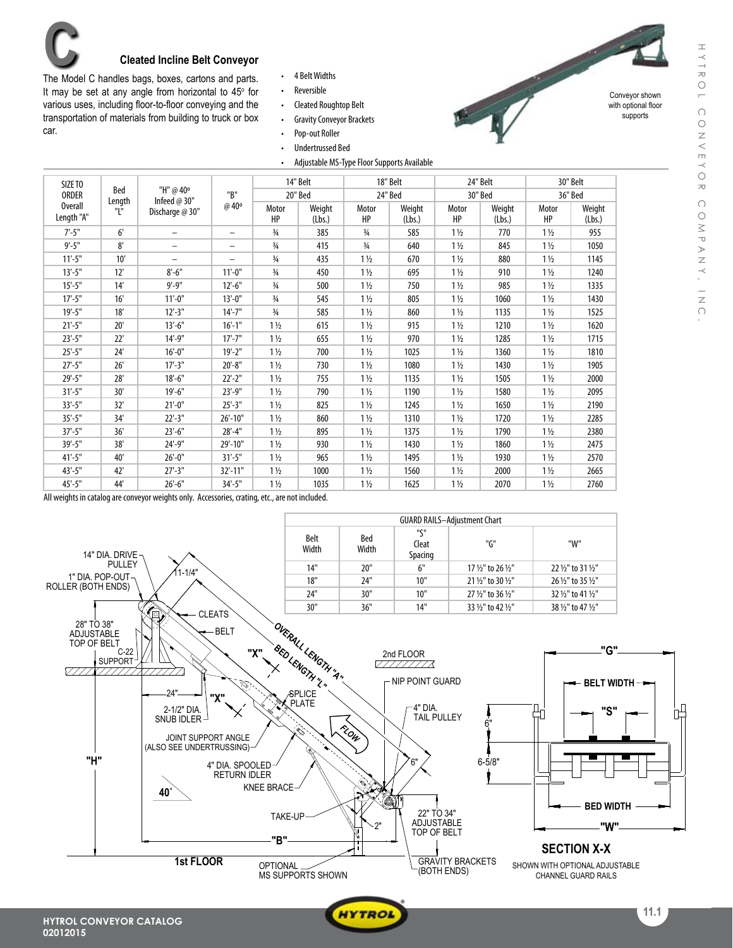

The Model C handles bags, boxes, cartons and parts. It may be set at any angle from horizontal to  $45^{\circ}$  for various uses, including floor-to-floor conveying and the transportation of materials from building to truck or box car.

- • 4 BeltWidths
- • Reversible
- • Cleated Roughtop Belt
- Gravity Conveyor Brackets
- • Pop-out Roller
- • Undertrussed Bed
- Adjustable MS-Type Floor Supports Available



Conveyor shown with optional floor supports

| SIZE TO<br><b>ORDER</b><br><b>Overall</b><br>Length "A" | Bed<br>Length<br>Т. | "H" @ 40°<br>Infeed $@30"$<br>Discharge @ 30" | "B"<br>@ 40°             | 14" Belt<br>20" Bed |                  | 18" Belt<br>24" Bed |                  | 24" Belt<br>30" Bed |                  | 30" Belt<br>36" Bed |                  |
|---------------------------------------------------------|---------------------|-----------------------------------------------|--------------------------|---------------------|------------------|---------------------|------------------|---------------------|------------------|---------------------|------------------|
|                                                         |                     |                                               |                          | Motor<br>HP         | Weight<br>(Lbs.) | Motor<br>HP         | Weight<br>(Lbs.) | Motor<br>HP         | Weight<br>(Lbs.) | Motor<br>HP         | Weight<br>(Lbs.) |
| $7' - 5"$                                               | 6'                  | $\overline{\phantom{0}}$                      | $\overline{\phantom{m}}$ | $\frac{3}{4}$       | 385              | $\frac{3}{4}$       | 585              | $1\frac{1}{2}$      | 770              | $1\frac{1}{2}$      | 955              |
| $9' - 5"$                                               | 8'                  | -                                             | $\qquad \qquad -$        | $\frac{3}{4}$       | 415              | $\frac{3}{4}$       | 640              | $1\frac{1}{2}$      | 845              | $1\frac{1}{2}$      | 1050             |
| $11'-5$ "                                               | 10'                 | $\overline{\phantom{0}}$                      | $\overline{\phantom{0}}$ | $\frac{3}{4}$       | 435              | $1\frac{1}{2}$      | 670              | $1\frac{1}{2}$      | 880              | $1\frac{1}{2}$      | 1145             |
| $13'-5"$                                                | 12'                 | $8'-6''$                                      | $11'-0$ "                | $\frac{3}{4}$       | 450              | $1\frac{1}{2}$      | 695              | $1\frac{1}{2}$      | 910              | $1\frac{1}{2}$      | 1240             |
| $15'-5''$                                               | 14'                 | $9' - 9''$                                    | $12'-6''$                | $\frac{3}{4}$       | 500              | $1\frac{1}{2}$      | 750              | $1\frac{1}{2}$      | 985              | $1\frac{1}{2}$      | 1335             |
| $17' - 5''$                                             | 16'                 | $11'-0$ "                                     | $13'-0$ "                | $\frac{3}{4}$       | 545              | $1\frac{1}{2}$      | 805              | $1\frac{1}{2}$      | 1060             | $1\frac{1}{2}$      | 1430             |
| $19' - 5"$                                              | 18'                 | $12 - 3$ "                                    | $14'-7''$                | $\frac{3}{4}$       | 585              | $1\frac{1}{2}$      | 860              | $1\frac{1}{2}$      | 1135             | $1\frac{1}{2}$      | 1525             |
| $21'-5"$                                                | 20'                 | $13'-6''$                                     | $16'-1$ "                | $1\frac{1}{2}$      | 615              | $1\frac{1}{2}$      | 915              | $1\frac{1}{2}$      | 1210             | $1\frac{1}{2}$      | 1620             |
| $23'-5''$                                               | 22'                 | $14'-9''$                                     | $17' - 7''$              | $1\frac{1}{2}$      | 655              | $1\frac{1}{2}$      | 970              | $1\frac{1}{2}$      | 1285             | $1\frac{1}{2}$      | 1715             |
| $25 - 5"$                                               | 24'                 | $16'-0$ "                                     | $19' - 2"$               | $1\frac{1}{2}$      | 700              | $1\frac{1}{2}$      | 1025             | $1\frac{1}{2}$      | 1360             | $1\frac{1}{2}$      | 1810             |
| $27 - 5"$                                               | 26'                 | $17 - 3"$                                     | $20'-8''$                | $1\frac{1}{2}$      | 730              | $1\frac{1}{2}$      | 1080             | $1\frac{1}{2}$      | 1430             | $1\frac{1}{2}$      | 1905             |
| $29' - 5"$                                              | 28'                 | $18 - 6"$                                     | $22'-2"$                 | $1\frac{1}{2}$      | 755              | $1\frac{1}{2}$      | 1135             | $1\frac{1}{2}$      | 1505             | $1\frac{1}{2}$      | 2000             |
| $31'-5"$                                                | 30'                 | $19'-6$ "                                     | 23'-9"                   | $1\frac{1}{2}$      | 790              | $1\frac{1}{2}$      | 1190             | $1\frac{1}{2}$      | 1580             | $1\frac{1}{2}$      | 2095             |
| $33'-5''$                                               | 32'                 | $21'-0$ "                                     | $25 - 3"$                | $1\frac{1}{2}$      | 825              | $1\frac{1}{2}$      | 1245             | $1\frac{1}{2}$      | 1650             | $1\frac{1}{2}$      | 2190             |
| $35 - 5"$                                               | 34'                 | $22'-3''$                                     | $26'-10"$                | $1\frac{1}{2}$      | 860              | $1\frac{1}{2}$      | 1310             | $1\frac{1}{2}$      | 1720             | $1\frac{1}{2}$      | 2285             |
| $37' - 5''$                                             | 36'                 | $23'-6''$                                     | $28 - 4"$                | $1\frac{1}{2}$      | 895              | $1\frac{1}{2}$      | 1375             | $1\frac{1}{2}$      | 1790             | $1\frac{1}{2}$      | 2380             |
| $39' - 5''$                                             | 38'                 | 24'-9"                                        | 29'-10"                  | $1\frac{1}{2}$      | 930              | $1\frac{1}{2}$      | 1430             | $1\frac{1}{2}$      | 1860             | $1\frac{1}{2}$      | 2475             |
| $41'-5$ "                                               | 40'                 | $26'-0''$                                     | $31'-5$ "                | $1\frac{1}{2}$      | 965              | $1\frac{1}{2}$      | 1495             | $1\frac{1}{2}$      | 1930             | $1\frac{1}{2}$      | 2570             |
| $43' - 5"$                                              | 42'                 | $27'-3''$                                     | 32'-11"                  | $1\frac{1}{2}$      | 1000             | $1\frac{1}{2}$      | 1560             | $1\frac{1}{2}$      | 2000             | $1\frac{1}{2}$      | 2665             |
| $45 - 5"$                                               | 44'                 | $26'-6''$                                     | $34'-5''$                | $1\frac{1}{2}$      | 1035             | $1\frac{1}{2}$      | 1625             | $1\frac{1}{2}$      | 2070             | $1\frac{1}{2}$      | 2760             |

All weights in catalog are conveyor weights only. Accessories, crating, etc., are not included.



**WYTROL** 



**11.1**